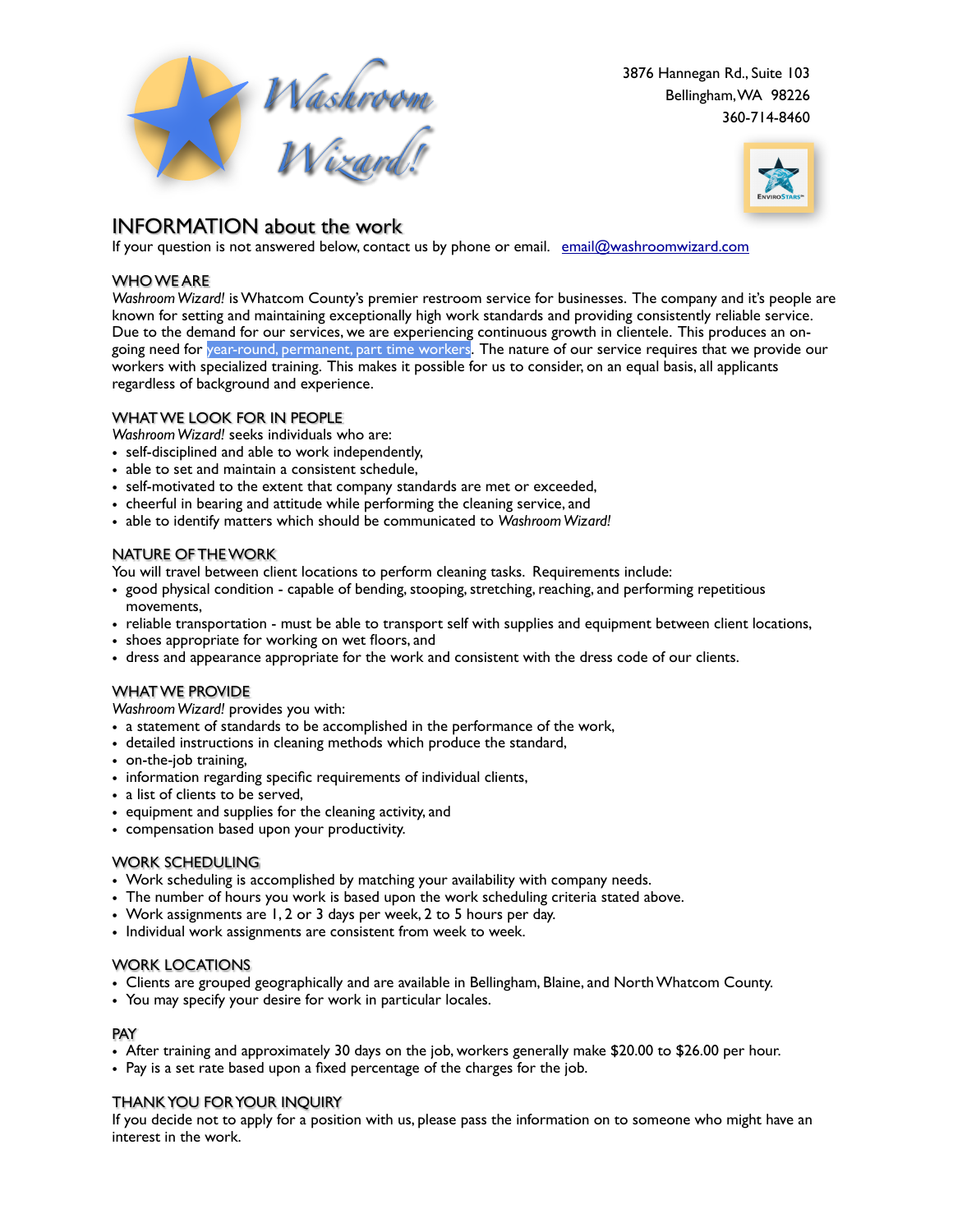

**P.O. Box 29133**  3876 Hannegan Rd., Suite 103 **Bellingham, WA 98228**  Bellingham, WA 98226 **360-714-8460** 360-714-8460



## INFORMATION about the work

If your question is not answered below, contact us by phone or email. [email@washroomwizard.com](mailto:email@washroomwizard.com?subject=Question%20about%20the%20work)

### WHO WE ARE

*Washroom Wizard!* is Whatcom County's premier restroom service for businesses. The company and it's people are known for setting and maintaining exceptionally high work standards and providing consistently reliable service. Due to the demand for our services, we are experiencing continuous growth in clientele. This produces an ongoing need for year-round, permanent, part time workers. The nature of our service requires that we provide our workers with specialized training. This makes it possible for us to consider, on an equal basis, all applicants regardless of background and experience.

### WHAT WE LOOK FOR IN PEOPLE

*Washroom Wizard!* seeks individuals who are:

- self-disciplined and able to work independently,
- able to set and maintain a consistent schedule,
- self-motivated to the extent that company standards are met or exceeded,
- cheerful in bearing and attitude while performing the cleaning service, and
- able to identify matters which should be communicated to *Washroom Wizard!*

### NATURE OF THE WORK

You will travel between client locations to perform cleaning tasks. Requirements include:

- good physical condition capable of bending, stooping, stretching, reaching, and performing repetitious movements,
- reliable transportation must be able to transport self with supplies and equipment between client locations,
- shoes appropriate for working on wet floors, and
- dress and appearance appropriate for the work and consistent with the dress code of our clients.

#### WHAT WE PROVIDE

*Washroom Wizard!* provides you with:

- a statement of standards to be accomplished in the performance of the work,
- detailed instructions in cleaning methods which produce the standard,
- on-the-job training,
- information regarding specific requirements of individual clients,
- a list of clients to be served,
- equipment and supplies for the cleaning activity, and
- compensation based upon your productivity.

#### WORK SCHEDULING

- Work scheduling is accomplished by matching your availability with company needs.
- The number of hours you work is based upon the work scheduling criteria stated above.
- Work assignments are 1, 2 or 3 days per week, 2 to 5 hours per day.
- Individual work assignments are consistent from week to week.

#### WORK LOCATIONS

- Clients are grouped geographically and are available in Bellingham, Blaine, and North Whatcom County.
- You may specify your desire for work in particular locales.

#### PAY

- After training and approximately 30 days on the job, workers generally make \$20.00 to \$26.00 per hour.
- Pay is a set rate based upon a fixed percentage of the charges for the job.

#### THANK YOU FOR YOUR INQUIRY

If you decide not to apply for a position with us, please pass the information on to someone who might have an interest in the work.